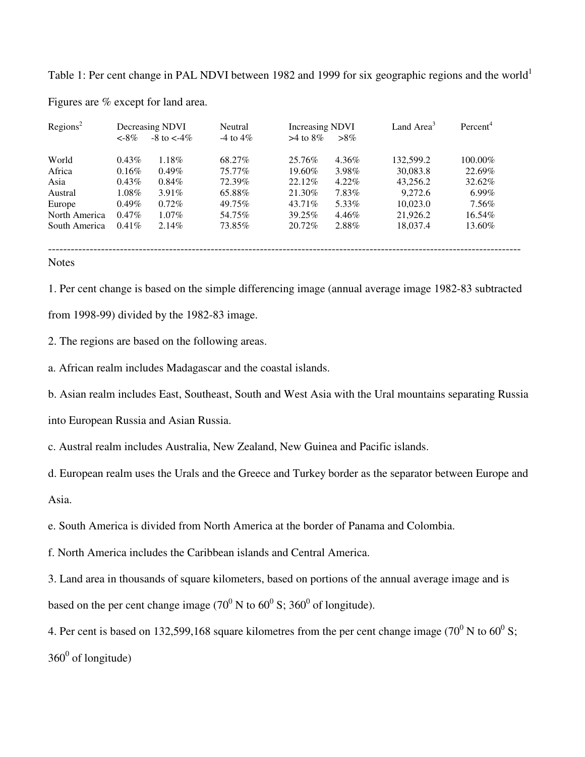Table 1: Per cent change in PAL NDVI between 1982 and 1999 for six geographic regions and the world<sup>1</sup>

| Regions <sup>2</sup> | Decreasing NDVI |                   | Neutral       | <b>Increasing NDVI</b> |          | Land Area <sup>3</sup> | Percent <sup>4</sup> |
|----------------------|-----------------|-------------------|---------------|------------------------|----------|------------------------|----------------------|
|                      | $< -8\%$        | $-8$ to $\lt$ -4% | $-4$ to $4\%$ | $>4$ to $8\%$          | $>8\%$   |                        |                      |
| World                | $0.43\%$        | 1.18%             | 68.27%        | 25.76%                 | 4.36%    | 132,599.2              | 100.00%              |
| Africa               | 0.16%           | $0.49\%$          | 75.77%        | 19.60%                 | 3.98%    | 30,083.8               | 22.69%               |
| Asia                 | $0.43\%$        | $0.84\%$          | 72.39%        | 22.12\%                | $4.22\%$ | 43,256.2               | 32.62%               |
| Austral              | $1.08\%$        | $3.91\%$          | 65.88%        | 21.30%                 | 7.83%    | 9,272.6                | $6.99\%$             |
| Europe               | $0.49\%$        | $0.72\%$          | 49.75%        | 43.71\%                | 5.33%    | 10.023.0               | 7.56%                |
| North America        | $0.47\%$        | $1.07\%$          | 54.75%        | 39.25%                 | 4.46%    | 21,926.2               | 16.54%               |
| South America        | $0.41\%$        | $2.14\%$          | 73.85%        | 20.72%                 | 2.88%    | 18,037.4               | 13.60%               |
|                      |                 |                   |               |                        |          |                        |                      |
|                      |                 |                   |               |                        |          |                        |                      |

Figures are % except for land area.

**Notes** 

1. Per cent change is based on the simple differencing image (annual average image 1982-83 subtracted from 1998-99) divided by the 1982-83 image.

2. The regions are based on the following areas.

a. African realm includes Madagascar and the coastal islands.

b. Asian realm includes East, Southeast, South and West Asia with the Ural mountains separating Russia

into European Russia and Asian Russia.

c. Austral realm includes Australia, New Zealand, New Guinea and Pacific islands.

d. European realm uses the Urals and the Greece and Turkey border as the separator between Europe and

Asia.

e. South America is divided from North America at the border of Panama and Colombia.

f. North America includes the Caribbean islands and Central America.

3. Land area in thousands of square kilometers, based on portions of the annual average image and is based on the per cent change image (70<sup>0</sup> N to 60<sup>0</sup> S; 360<sup>0</sup> of longitude).

4. Per cent is based on 132,599,168 square kilometres from the per cent change image (70<sup>0</sup> N to 60<sup>0</sup> S;  $360^0$  of longitude)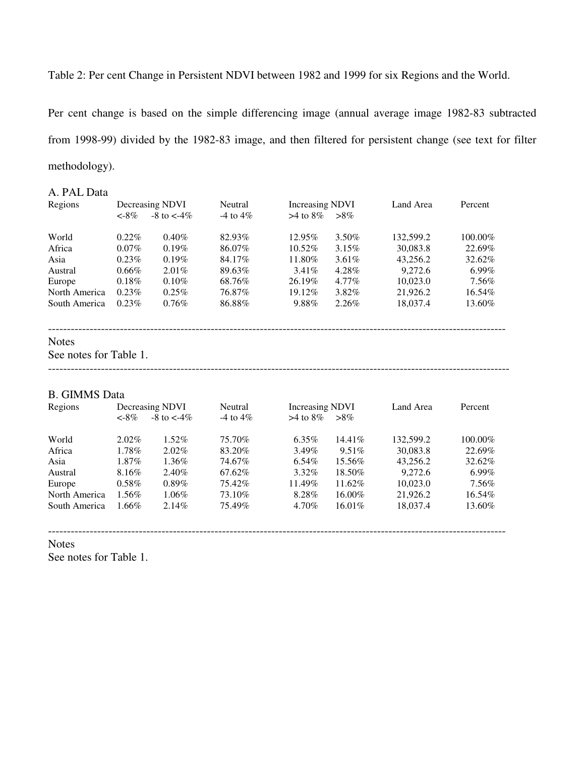Table 2: Per cent Change in Persistent NDVI between 1982 and 1999 for six Regions and the World.

Per cent change is based on the simple differencing image (annual average image 1982-83 subtracted from 1998-99) divided by the 1982-83 image, and then filtered for persistent change (see text for filter methodology).

#### A. PAL Data

| Regions       | Decreasing NDVI |                   | Neutral       |               | <b>Increasing NDVI</b> |           | Percent  |  |
|---------------|-----------------|-------------------|---------------|---------------|------------------------|-----------|----------|--|
|               | $< -8\%$        | $-8$ to $\lt$ -4% | $-4$ to $4\%$ | $>4$ to $8\%$ | $>8\%$                 |           |          |  |
| World         | $0.22\%$        | $0.40\%$          | 82.93%        | 12.95%        | $3.50\%$               | 132,599.2 | 100.00%  |  |
| Africa        | $0.07\%$        | $0.19\%$          | 86.07%        | $10.52\%$     | $3.15\%$               | 30,083.8  | 22.69%   |  |
| Asia          | $0.23\%$        | $0.19\%$          | 84.17%        | 11.80%        | $3.61\%$               | 43.256.2  | 32.62%   |  |
| Austral       | $0.66\%$        | $2.01\%$          | 89.63%        | $3.41\%$      | 4.28%                  | 9.272.6   | $6.99\%$ |  |
| Europe        | $0.18\%$        | $0.10\%$          | 68.76%        | 26.19%        | $4.77\%$               | 10.023.0  | 7.56%    |  |
| North America | $0.23\%$        | $0.25\%$          | 76.87%        | 19.12\%       | 3.82%                  | 21,926.2  | 16.54%   |  |
| South America | $0.23\%$        | $0.76\%$          | 86.88%        | 9.88%         | $2.26\%$               | 18,037.4  | 13.60%   |  |

#### Notes

See notes for Table 1.

--------------------------------------------------------------------------------------------------------------------------

-------------------------------------------------------------------------------------------------------------------------

#### B. GIMMS Data

| Regions       | Decreasing NDVI |                    | Neutral       |               | <b>Increasing NDVI</b> |           | Percent  |  |
|---------------|-----------------|--------------------|---------------|---------------|------------------------|-----------|----------|--|
|               | $< -8\%$        | $-8$ to $\lt$ -4\% | $-4$ to $4\%$ | $>4$ to $8\%$ | $>8\%$                 |           |          |  |
| World         | $2.02\%$        | $1.52\%$           | 75.70%        | $6.35\%$      | 14.41%                 | 132,599.2 | 100.00%  |  |
| Africa        | 1.78%           | $2.02\%$           | 83.20%        | $3.49\%$      | $9.51\%$               | 30,083.8  | 22.69%   |  |
| Asia          | $1.87\%$        | $1.36\%$           | 74.67%        | $6.54\%$      | 15.56%                 | 43.256.2  | 32.62%   |  |
| Austral       | 8.16%           | $2.40\%$           | 67.62%        | $3.32\%$      | 18.50%                 | 9.272.6   | $6.99\%$ |  |
| Europe        | $0.58\%$        | $0.89\%$           | 75.42%        | 11.49%        | 11.62\%                | 10.023.0  | 7.56%    |  |
| North America | $1.56\%$        | $1.06\%$           | 73.10%        | 8.28%         | 16.00%                 | 21,926.2  | 16.54%   |  |
| South America | $1.66\%$        | $2.14\%$           | 75.49%        | 4.70%         | $16.01\%$              | 18,037.4  | 13.60%   |  |

-------------------------------------------------------------------------------------------------------------------------

Notes

See notes for Table 1.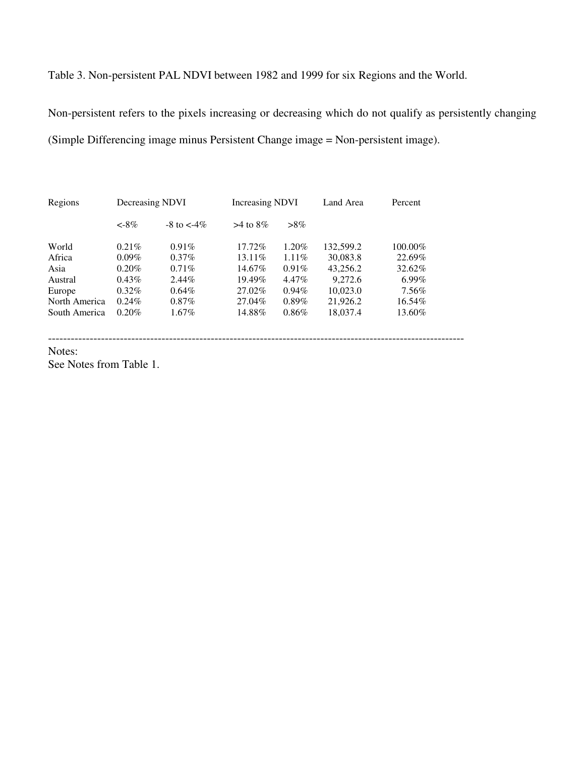Table 3. Non-persistent PAL NDVI between 1982 and 1999 for six Regions and the World.

Non-persistent refers to the pixels increasing or decreasing which do not qualify as persistently changing (Simple Differencing image minus Persistent Change image = Non-persistent image).

--------------------------------------------------------------------------------------------------------------

| Regions       | Decreasing NDVI |                    | <b>Increasing NDVI</b> |          | Land Area | Percent    |
|---------------|-----------------|--------------------|------------------------|----------|-----------|------------|
|               | $< -8\%$        | $-8$ to $\lt -4\%$ | $>4$ to $8\%$          | $>8\%$   |           |            |
| World         | $0.21\%$        | $0.91\%$           | 17.72%                 | $1.20\%$ | 132,599.2 | $100.00\%$ |
| Africa        | $0.09\%$        | $0.37\%$           | $13.11\%$              | $1.11\%$ | 30,083.8  | 22.69%     |
| Asia          | $0.20\%$        | $0.71\%$           | 14.67%                 | $0.91\%$ | 43,256.2  | 32.62%     |
| Austral       | $0.43\%$        | $2.44\%$           | 19.49%                 | $4.47\%$ | 9,272.6   | $6.99\%$   |
| Europe        | $0.32\%$        | $0.64\%$           | 27.02%                 | $0.94\%$ | 10.023.0  | 7.56%      |
| North America | $0.24\%$        | $0.87\%$           | 27.04%                 | $0.89\%$ | 21,926.2  | 16.54%     |
| South America | 0.20%           | $1.67\%$           | 14.88%                 | $0.86\%$ | 18,037.4  | 13.60%     |

Notes:

See Notes from Table 1.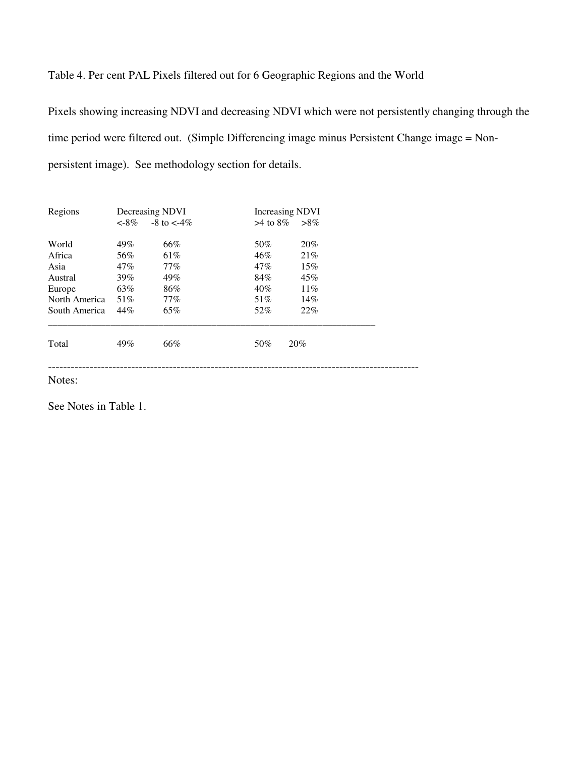## Table 4. Per cent PAL Pixels filtered out for 6 Geographic Regions and the World

Pixels showing increasing NDVI and decreasing NDVI which were not persistently changing through the time period were filtered out. (Simple Differencing image minus Persistent Change image = Nonpersistent image). See methodology section for details.

| Regions       |          | Decreasing NDVI    | <b>Increasing NDVI</b> |        |  |
|---------------|----------|--------------------|------------------------|--------|--|
|               | $< -8\%$ | $-8$ to $\lt -4\%$ | $>4$ to $8\%$          | $>8\%$ |  |
| World         | 49%      | 66%                | 50%                    | 20%    |  |
| Africa        | 56%      | 61%                | 46%                    | 21\%   |  |
| Asia          | $47\%$   | $77\%$             | 47%                    | 15%    |  |
| Austral       | 39%      | 49%                | 84%                    | 45%    |  |
| Europe        | 63%      | 86%                | 40%                    | 11%    |  |
| North America | 51%      | $77\%$             | 51%                    | 14%    |  |
| South America | 44%      | 65%                | 52%                    | 22%    |  |
| Total         | 49%      | 66%                | 50%                    | 20%    |  |
| Notes:        |          |                    |                        |        |  |

See Notes in Table 1.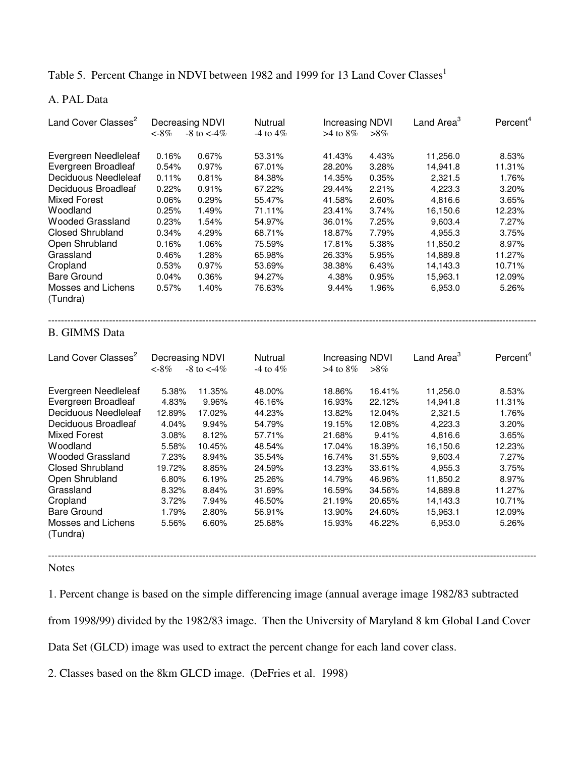Table 5. Percent Change in NDVI between 1982 and 1999 for 13 Land Cover Classes<sup>1</sup>

A. PAL Data

| Land Cover Classes <sup>2</sup> | Decreasing NDVI<br>$< -8\%$ | $-8$ to $<-4\%$ | Nutrual<br>-4 to $4\%$ | <b>Increasing NDVI</b><br>$>4$ to 8\% | $>8\%$ | Land Area <sup>3</sup> | Percent <sup>4</sup> |
|---------------------------------|-----------------------------|-----------------|------------------------|---------------------------------------|--------|------------------------|----------------------|
| Evergreen Needleleaf            | 0.16%                       | 0.67%           | 53.31%                 | 41.43%                                | 4.43%  | 11,256.0               | 8.53%                |
| Evergreen Broadleaf             | 0.54%                       | 0.97%           | 67.01%                 | 28.20%                                | 3.28%  | 14,941.8               | 11.31%               |
| <b>Deciduous Needleleaf</b>     | 0.11%                       | 0.81%           | 84.38%                 | 14.35%                                | 0.35%  | 2,321.5                | 1.76%                |
| Deciduous Broadleaf             | 0.22%                       | 0.91%           | 67.22%                 | 29.44%                                | 2.21%  | 4,223.3                | 3.20%                |
| <b>Mixed Forest</b>             | 0.06%                       | 0.29%           | 55.47%                 | 41.58%                                | 2.60%  | 4,816.6                | 3.65%                |
| Woodland                        | 0.25%                       | 1.49%           | 71.11%                 | 23.41%                                | 3.74%  | 16,150.6               | 12.23%               |
| <b>Wooded Grassland</b>         | 0.23%                       | 1.54%           | 54.97%                 | 36.01%                                | 7.25%  | 9,603.4                | 7.27%                |
| <b>Closed Shrubland</b>         | 0.34%                       | 4.29%           | 68.71%                 | 18.87%                                | 7.79%  | 4,955.3                | 3.75%                |
| Open Shrubland                  | 0.16%                       | 1.06%           | 75.59%                 | 17.81%                                | 5.38%  | 11,850.2               | 8.97%                |
| Grassland                       | 0.46%                       | 1.28%           | 65.98%                 | 26.33%                                | 5.95%  | 14,889.8               | 11.27%               |
| Cropland                        | 0.53%                       | 0.97%           | 53.69%                 | 38.38%                                | 6.43%  | 14,143.3               | 10.71%               |
| <b>Bare Ground</b>              | 0.04%                       | 0.36%           | 94.27%                 | 4.38%                                 | 0.95%  | 15,963.1               | 12.09%               |
| Mosses and Lichens<br>(Tundra)  | 0.57%                       | 1.40%           | 76.63%                 | 9.44%                                 | 1.96%  | 6,953.0                | 5.26%                |
| <b>B.</b> GIMMS Data            |                             |                 |                        |                                       |        |                        |                      |
| Land Cover Classes <sup>2</sup> | Decreasing NDVI             |                 | Nutrual                | <b>Increasing NDVI</b>                |        | Land Area <sup>3</sup> | Percent <sup>4</sup> |
|                                 | $< -8\%$                    | -8 to $<$ 4%    | -4 to $4\%$            | $>4$ to $8\%$                         | $>8\%$ |                        |                      |
| Evergreen Needleleaf            | 5.38%                       | 11.35%          | 48.00%                 | 18.86%                                | 16.41% | 11,256.0               | 8.53%                |
| Evergreen Broadleaf             | 4.83%                       | 9.96%           | 46.16%                 | 16.93%                                | 22.12% | 14,941.8               | 11.31%               |
| Deciduous Needleleaf            | 12.89%                      | 17.02%          | 44.23%                 | 13.82%                                | 12.04% | 2,321.5                | 1.76%                |
| Deciduous Broadleaf             | 4.04%                       | 9.94%           | 54.79%                 | 19.15%                                | 12.08% | 4,223.3                | 3.20%                |
| <b>Mixed Forest</b>             | 3.08%                       | 8.12%           | 57.71%                 | 21.68%                                | 9.41%  | 4,816.6                | 3.65%                |
| Woodland                        | 5.58%                       | 10.45%          | 48.54%                 | 17.04%                                | 18.39% | 16,150.6               | 12.23%               |
| <b>Wooded Grassland</b>         | 7.23%                       | 8.94%           | 35.54%                 | 16.74%                                | 31.55% | 9,603.4                | 7.27%                |
| <b>Closed Shrubland</b>         | 19.72%                      | 8.85%           | 24.59%                 | 13.23%                                | 33.61% | 4,955.3                | 3.75%                |
| Open Shrubland                  | 6.80%                       | 6.19%           | 25.26%                 | 14.79%                                | 46.96% | 11,850.2               | 8.97%                |
| Grassland                       | 8.32%                       | 8.84%           | 31.69%                 | 16.59%                                | 34.56% | 14,889.8               | 11.27%               |
| Cropland                        | 3.72%                       | 7.94%           | 46.50%                 | 21.19%                                | 20.65% | 14,143.3               | 10.71%               |
| <b>Bare Ground</b>              | 1.79%                       | 2.80%           | 56.91%                 | 13.90%                                | 24.60% | 15,963.1               | 12.09%               |
| Mosses and Lichens<br>(Tundra)  | 5.56%                       | 6.60%           | 25.68%                 | 15.93%                                | 46.22% | 6,953.0                | 5.26%                |

Notes

1. Percent change is based on the simple differencing image (annual average image 1982/83 subtracted

from 1998/99) divided by the 1982/83 image. Then the University of Maryland 8 km Global Land Cover

---------------------------------------------------------------------------------------------------------------------------------------------------------

Data Set (GLCD) image was used to extract the percent change for each land cover class.

2. Classes based on the 8km GLCD image. (DeFries et al. 1998)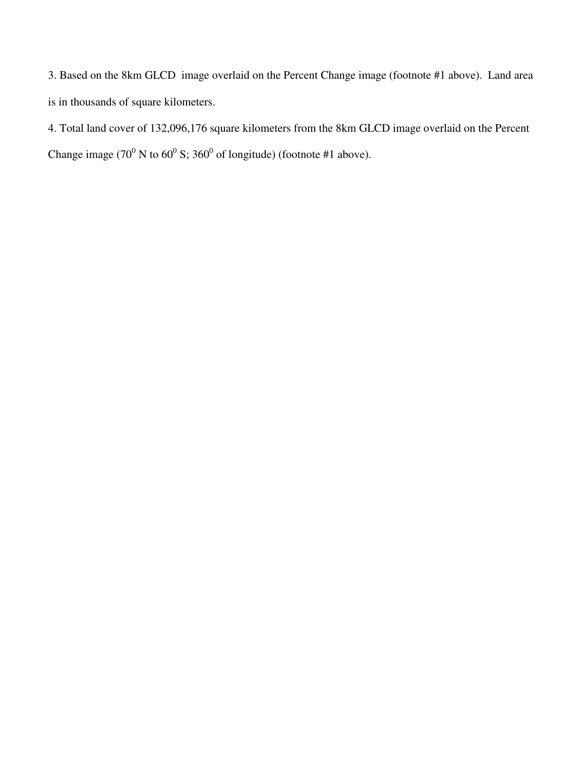3. Based on the 8km GLCD image overlaid on the Percent Change image (footnote #1 above). Land area is in thousands of square kilometers.

4. Total land cover of 132,096,176 square kilometers from the 8km GLCD image overlaid on the Percent Change image (70<sup>0</sup> N to 60<sup>0</sup> S; 360<sup>0</sup> of longitude) (footnote #1 above).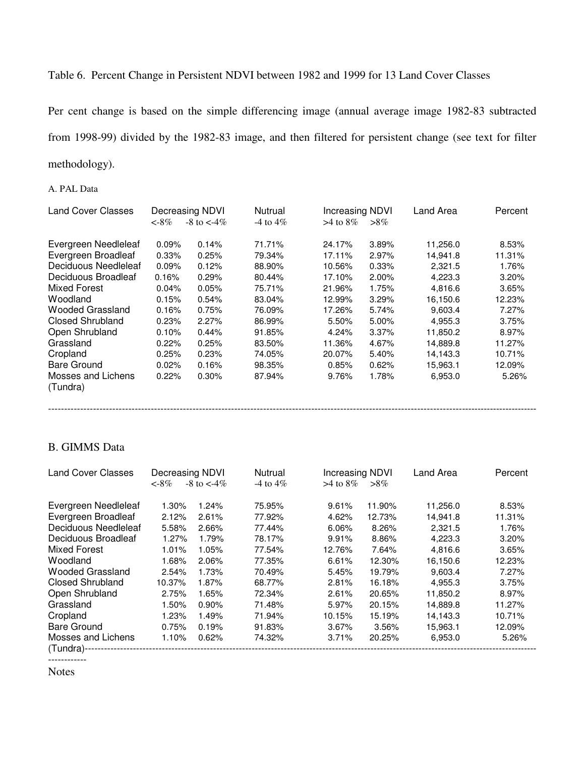## Table 6. Percent Change in Persistent NDVI between 1982 and 1999 for 13 Land Cover Classes

Per cent change is based on the simple differencing image (annual average image 1982-83 subtracted from 1998-99) divided by the 1982-83 image, and then filtered for persistent change (see text for filter methodology).

A. PAL Data

| <b>Land Cover Classes</b>      | Decreasing NDVI |                    | Nutrual       | Increasing NDVI |          | Land Area | Percent |
|--------------------------------|-----------------|--------------------|---------------|-----------------|----------|-----------|---------|
|                                | $< -8\%$        | $-8$ to $\lt$ -4\% | $-4$ to $4\%$ | $>4$ to $8\%$   | $>8\%$   |           |         |
| Evergreen Needleleaf           | 0.09%           | 0.14%              | 71.71%        | 24.17%          | 3.89%    | 11,256.0  | 8.53%   |
| Evergreen Broadleaf            | 0.33%           | 0.25%              | 79.34%        | 17.11%          | 2.97%    | 14,941.8  | 11.31%  |
| Deciduous Needleleaf           | 0.09%           | 0.12%              | 88.90%        | 10.56%          | 0.33%    | 2,321.5   | 1.76%   |
| Deciduous Broadleaf            | 0.16%           | 0.29%              | 80.44%        | 17.10%          | $2.00\%$ | 4,223.3   | 3.20%   |
| Mixed Forest                   | 0.04%           | 0.05%              | 75.71%        | 21.96%          | 1.75%    | 4,816.6   | 3.65%   |
| Woodland                       | 0.15%           | 0.54%              | 83.04%        | 12.99%          | 3.29%    | 16,150.6  | 12.23%  |
| <b>Wooded Grassland</b>        | 0.16%           | 0.75%              | 76.09%        | 17.26%          | 5.74%    | 9,603.4   | 7.27%   |
| <b>Closed Shrubland</b>        | 0.23%           | 2.27%              | 86.99%        | 5.50%           | 5.00%    | 4.955.3   | 3.75%   |
| Open Shrubland                 | 0.10%           | 0.44%              | 91.85%        | 4.24%           | $3.37\%$ | 11,850.2  | 8.97%   |
| Grassland                      | 0.22%           | 0.25%              | 83.50%        | 11.36%          | 4.67%    | 14,889.8  | 11.27%  |
| Cropland                       | 0.25%           | 0.23%              | 74.05%        | 20.07%          | 5.40%    | 14,143.3  | 10.71%  |
| Bare Ground                    | 0.02%           | 0.16%              | 98.35%        | 0.85%           | 0.62%    | 15,963.1  | 12.09%  |
| Mosses and Lichens<br>(Tundra) | 0.22%           | 0.30%              | 87.94%        | 9.76%           | 1.78%    | 6,953.0   | 5.26%   |

---------------------------------------------------------------------------------------------------------------------------------------------------------

### B. GIMMS Data

| <b>Land Cover Classes</b> | Decreasing NDVI |                    | Nutrual       | Increasing NDVI |        | Land Area | Percent |  |
|---------------------------|-----------------|--------------------|---------------|-----------------|--------|-----------|---------|--|
|                           | $<$ -8%         | $-8$ to $\lt -4\%$ | $-4$ to $4\%$ | $>4$ to 8\%     | $>8\%$ |           |         |  |
| Evergreen Needleleaf      | 1.30%           | 1.24%              | 75.95%        | 9.61%           | 11.90% | 11,256.0  | 8.53%   |  |
| Evergreen Broadleaf       | 2.12%           | 2.61%              | 77.92%        | 4.62%           | 12.73% | 14.941.8  | 11.31%  |  |
| Deciduous Needleleaf      | 5.58%           | 2.66%              | 77.44%        | 6.06%           | 8.26%  | 2,321.5   | 1.76%   |  |
| Deciduous Broadleaf       | 1.27%           | 1.79%              | 78.17%        | 9.91%           | 8.86%  | 4,223.3   | 3.20%   |  |
| Mixed Forest              | 1.01%           | 1.05%              | 77.54%        | 12.76%          | 7.64%  | 4.816.6   | 3.65%   |  |
| Woodland                  | 1.68%           | 2.06%              | 77.35%        | 6.61%           | 12.30% | 16,150.6  | 12.23%  |  |
| <b>Wooded Grassland</b>   | 2.54%           | 1.73%              | 70.49%        | 5.45%           | 19.79% | 9,603.4   | 7.27%   |  |
| <b>Closed Shrubland</b>   | 10.37%          | 1.87%              | 68.77%        | 2.81%           | 16.18% | 4,955.3   | 3.75%   |  |
| Open Shrubland            | 2.75%           | 1.65%              | 72.34%        | 2.61%           | 20.65% | 11,850.2  | 8.97%   |  |
| Grassland                 | 1.50%           | $0.90\%$           | 71.48%        | 5.97%           | 20.15% | 14,889.8  | 11.27%  |  |
| Cropland                  | 1.23%           | 1.49%              | 71.94%        | 10.15%          | 15.19% | 14.143.3  | 10.71%  |  |
| Bare Ground               | 0.75%           | 0.19%              | 91.83%        | 3.67%           | 3.56%  | 15,963.1  | 12.09%  |  |
| Mosses and Lichens        | $1.10\%$        | 0.62%              | 74.32%        | 3.71%           | 20.25% | 6,953.0   | 5.26%   |  |
| (Tundra)--                |                 |                    |               |                 |        |           |         |  |
|                           |                 |                    |               |                 |        |           |         |  |

Notes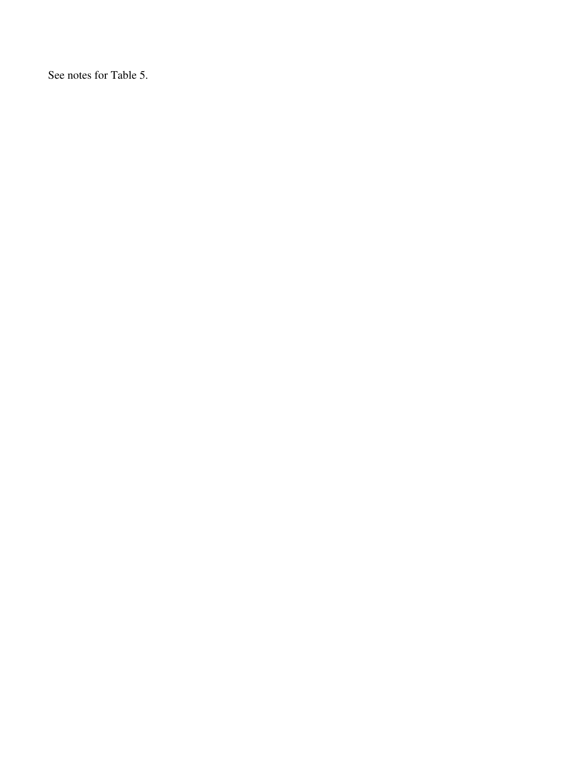See notes for Table 5.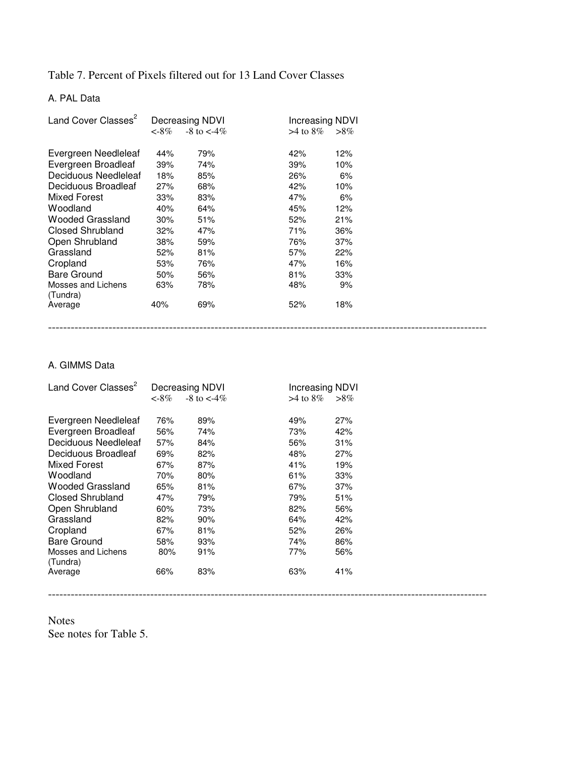### Table 7. Percent of Pixels filtered out for 13 Land Cover Classes

# A. PAL Data

| Land Cover Classes <sup>2</sup> |          | Decreasing NDVI    | <b>Increasing NDVI</b> |        |
|---------------------------------|----------|--------------------|------------------------|--------|
|                                 | $< -8\%$ | $-8$ to $\lt$ -4\% | $>4$ to $8\%$          | $>8\%$ |
| Evergreen Needleleaf            | 44%      | 79%                | 42%                    | 12%    |
| Evergreen Broadleaf             | 39%      | 74%                | 39%                    | 10%    |
| Deciduous Needleleaf            | 18%      | 85%                | 26%                    | 6%     |
| Deciduous Broadleaf             | 27%      | 68%                | 42%                    | 10%    |
| <b>Mixed Forest</b>             | 33%      | 83%                | 47%                    | 6%     |
| Woodland                        | 40%      | 64%                | 45%                    | 12%    |
| Wooded Grassland                | 30%      | 51%                | 52%                    | 21%    |
| <b>Closed Shrubland</b>         | 32%      | 47%                | 71%                    | 36%    |
| Open Shrubland                  | 38%      | 59%                | 76%                    | 37%    |
| Grassland                       | 52%      | 81%                | 57%                    | 22%    |
| Cropland                        | 53%      | 76%                | 47%                    | 16%    |
| <b>Bare Ground</b>              | 50%      | 56%                | 81%                    | 33%    |
| Mosses and Lichens<br>(Tundra)  | 63%      | 78%                | 48%                    | 9%     |
| Average                         | 40%      | 69%                | 52%                    | 18%    |

--------------------------------------------------------------------------------------------------------------------

### A. GIMMS Data

| Land Cover Classes <sup>2</sup> | Decreasing NDVI |                    |               | Increasing NDVI |  |  |
|---------------------------------|-----------------|--------------------|---------------|-----------------|--|--|
|                                 | $<$ -8%         | $-8$ to $\lt$ -4\% | $>4$ to $8\%$ | $>8\%$          |  |  |
| Evergreen Needleleaf            | 76%             | 89%                | 49%           | 27%             |  |  |
| Evergreen Broadleaf             | 56%             | 74%                | 73%           | 42%             |  |  |
| Deciduous Needleleaf            | 57%             | 84%                | 56%           | 31%             |  |  |
| Deciduous Broadleaf             | 69%             | 82%                | 48%           | 27%             |  |  |
| Mixed Forest                    | 67%             | 87%                | 41%           | 19%             |  |  |
| Woodland                        | 70%             | 80%                | 61%           | 33%             |  |  |
| Wooded Grassland                | 65%             | 81%                | 67%           | 37%             |  |  |
| <b>Closed Shrubland</b>         | 47%             | 79%                | 79%           | 51%             |  |  |
| Open Shrubland                  | 60%             | 73%                | 82%           | 56%             |  |  |
| Grassland                       | 82%             | 90%                | 64%           | 42%             |  |  |
| Cropland                        | 67%             | 81%                | 52%           | 26%             |  |  |
| Bare Ground                     | 58%             | 93%                | 74%           | 86%             |  |  |
| Mosses and Lichens<br>(Tundra)  | 80%             | 91%                | 77%           | 56%             |  |  |
| Average                         | 66%             | 83%                | 63%           | 41%             |  |  |
|                                 |                 |                    |               |                 |  |  |

Notes See notes for Table 5.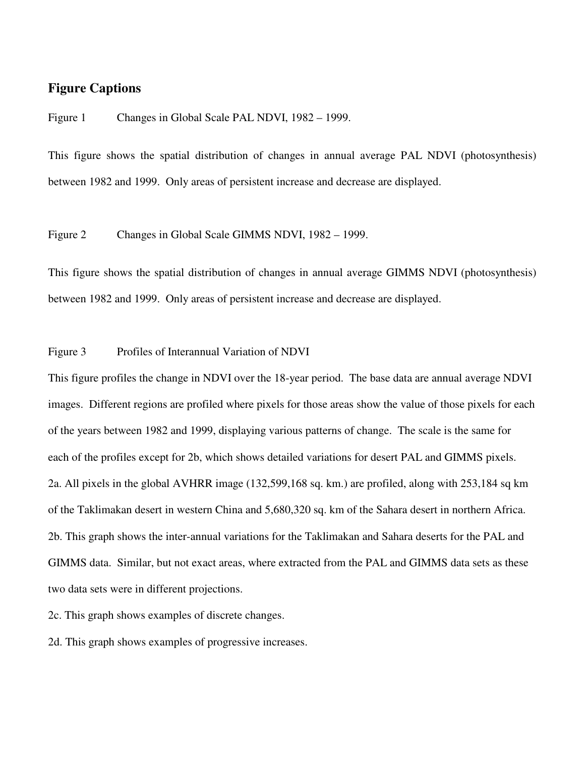# **Figure Captions**

Figure 1 Changes in Global Scale PAL NDVI, 1982 – 1999.

This figure shows the spatial distribution of changes in annual average PAL NDVI (photosynthesis) between 1982 and 1999. Only areas of persistent increase and decrease are displayed.

Figure 2 Changes in Global Scale GIMMS NDVI, 1982 – 1999.

This figure shows the spatial distribution of changes in annual average GIMMS NDVI (photosynthesis) between 1982 and 1999. Only areas of persistent increase and decrease are displayed.

Figure 3 Profiles of Interannual Variation of NDVI

This figure profiles the change in NDVI over the 18-year period. The base data are annual average NDVI images. Different regions are profiled where pixels for those areas show the value of those pixels for each of the years between 1982 and 1999, displaying various patterns of change. The scale is the same for each of the profiles except for 2b, which shows detailed variations for desert PAL and GIMMS pixels. 2a. All pixels in the global AVHRR image (132,599,168 sq. km.) are profiled, along with 253,184 sq km of the Taklimakan desert in western China and 5,680,320 sq. km of the Sahara desert in northern Africa. 2b. This graph shows the inter-annual variations for the Taklimakan and Sahara deserts for the PAL and GIMMS data. Similar, but not exact areas, where extracted from the PAL and GIMMS data sets as these two data sets were in different projections.

2c. This graph shows examples of discrete changes.

2d. This graph shows examples of progressive increases.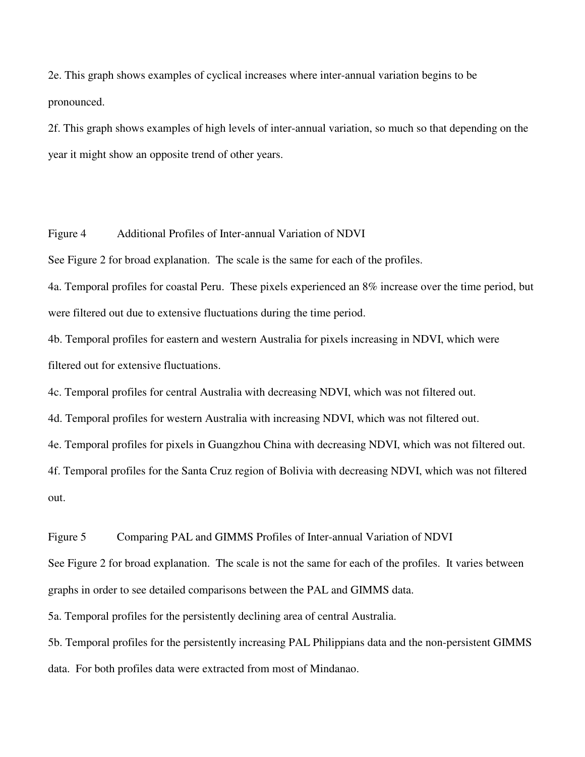2e. This graph shows examples of cyclical increases where inter-annual variation begins to be pronounced.

2f. This graph shows examples of high levels of inter-annual variation, so much so that depending on the year it might show an opposite trend of other years.

Figure 4 Additional Profiles of Inter-annual Variation of NDVI

See Figure 2 for broad explanation. The scale is the same for each of the profiles.

4a. Temporal profiles for coastal Peru. These pixels experienced an 8% increase over the time period, but were filtered out due to extensive fluctuations during the time period.

4b. Temporal profiles for eastern and western Australia for pixels increasing in NDVI, which were filtered out for extensive fluctuations.

4c. Temporal profiles for central Australia with decreasing NDVI, which was not filtered out.

4d. Temporal profiles for western Australia with increasing NDVI, which was not filtered out.

4e. Temporal profiles for pixels in Guangzhou China with decreasing NDVI, which was not filtered out.

4f. Temporal profiles for the Santa Cruz region of Bolivia with decreasing NDVI, which was not filtered out.

Figure 5 Comparing PAL and GIMMS Profiles of Inter-annual Variation of NDVI

See Figure 2 for broad explanation. The scale is not the same for each of the profiles. It varies between graphs in order to see detailed comparisons between the PAL and GIMMS data.

5a. Temporal profiles for the persistently declining area of central Australia.

5b. Temporal profiles for the persistently increasing PAL Philippians data and the non-persistent GIMMS data. For both profiles data were extracted from most of Mindanao.